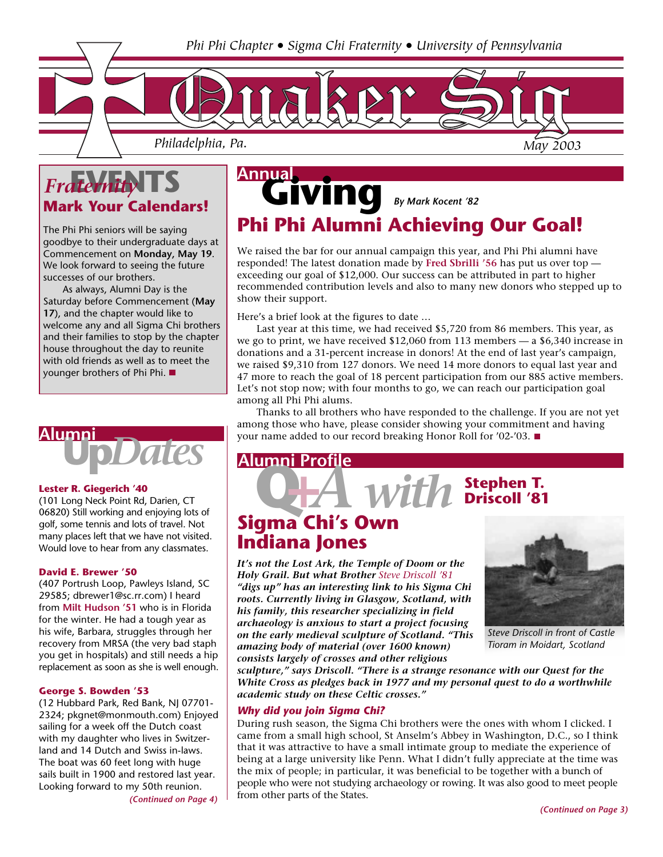

## **Mark Your Calendars!** *Fraternity*

The Phi Phi seniors will be saying goodbye to their undergraduate days at Commencement on **Monday, May 19**. We look forward to seeing the future successes of our brothers.

As always, Alumni Day is the Saturday before Commencement (**May 17**), and the chapter would like to welcome any and all Sigma Chi brothers and their families to stop by the chapter house throughout the day to reunite with old friends as well as to meet the younger brothers of Phi Phi.

# **Up***Dates* **Alumni**

#### **Lester R. Giegerich '40**

(101 Long Neck Point Rd, Darien, CT 06820) Still working and enjoying lots of golf, some tennis and lots of travel. Not many places left that we have not visited. Would love to hear from any classmates.

#### **David E. Brewer '50**

(407␣ Portrush␣ Loop, Pawleys␣ Island, SC 29585; dbrewer1@sc.rr.com) I heard from **Milt Hudson '51** who is in Florida for the winter. He had a tough year as his wife, Barbara, struggles through her recovery from MRSA (the very bad staph you get in hospitals) and still needs a hip replacement as soon as she is well enough.

#### **George S. Bowden '53**

(12␣ Hubbard␣ Park, Red␣ Bank, NJ 07701- 2324; pkgnet@monmouth.com) Enjoyed sailing for a week off the Dutch coast with my daughter who lives in Switzerland and 14 Dutch and Swiss in-laws. The boat was 60 feet long with huge sails built in 1900 and restored last year. Looking forward to my 50th reunion.

*(Continued on Page 4)*

# $\widetilde{\text{Vind}}$  By Mark Kocent '82 **Annual Phi Phi Alumni Achieving Our Goal!**

We raised the bar for our annual campaign this year, and Phi Phi alumni have responded! The latest donation made by **Fred Sbrilli '56** has put us over top exceeding our goal of \$12,000. Our success can be attributed in part to higher recommended contribution levels and also to many new donors who stepped up to show their support.

Here's a brief look at the figures to date …

Last year at this time, we had received \$5,720 from 86 members. This year, as we go to print, we have received \$12,060 from 113 members — a \$6,340 increase in donations and a 31-percent increase in donors! At the end of last year's campaign, we raised \$9,310 from 127 donors. We need 14 more donors to equal last year and 47 more to reach the goal of 18 percent participation from our 885 active members. Let's not stop now; with four months to go, we can reach our participation goal among all Phi Phi alums.

Thanks to all brothers who have responded to the challenge. If you are not yet among those who have, please consider showing your commitment and having your name added to our record breaking Honor Roll for '02-'03.

### **Alumni Profile**

# **Stephen T. Q+***A with* **Driscoll '81**

### **Sigma Chi's Own Indiana Jones**

*It's not the Lost Ark, the Temple of Doom or the Holy Grail. But what Brother Steve Driscoll '81 "digs up" has an interesting link to his Sigma Chi roots. Currently living in Glasgow, Scotland, with his family, this researcher specializing in field archaeology is anxious to start a project focusing on the early medieval sculpture of Scotland.␣ "This amazing body of material (over 1600 known) consists largely of crosses and other religious*



*Steve Driscoll in front of Castle Tioram in Moidart, Scotland*

*sculpture," says Driscoll. "There is a strange resonance with our Quest for the White Cross as pledges back in 1977 and my personal quest to do a worthwhile academic study on these Celtic crosses."*

#### *Why did you join Sigma Chi?*

During rush season, the Sigma Chi brothers were the ones with whom I clicked. I came from a small high school, St Anselm's Abbey in Washington, D.C., so I think that it was attractive to have a small intimate group to mediate the experience of being at a large university like Penn. What I didn't fully appreciate at the time was the mix of people; in particular, it was beneficial to be together with a bunch of people who were not studying archaeology or rowing. It was also good to meet people from other parts of the States.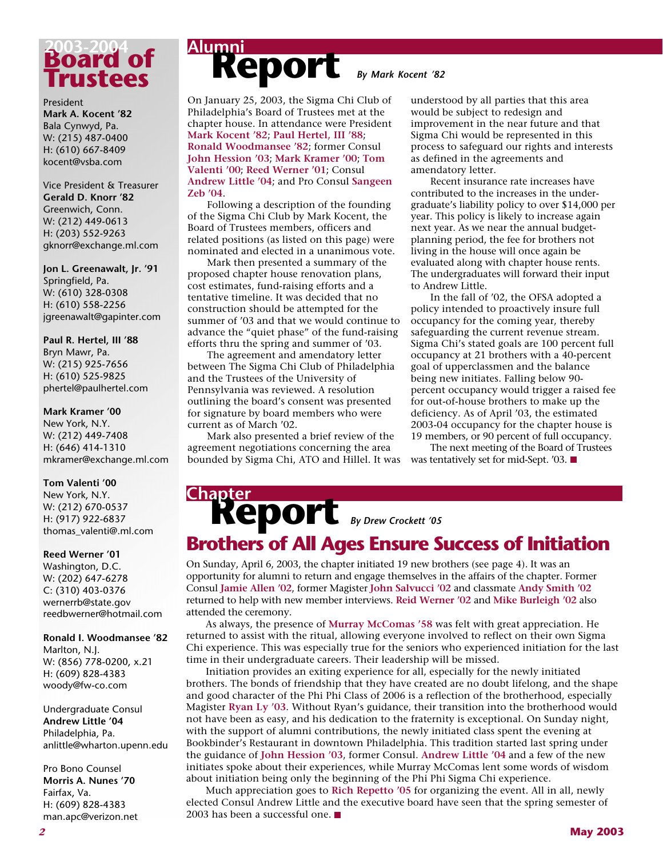

#### President

**Mark A. Kocent '82** Bala Cynwyd, Pa. W: (215) 487-0400 H: (610) 667-8409 kocent@vsba.com

Vice President & Treasurer **Gerald D. Knorr '82** Greenwich, Conn. W: (212) 449-0613 H: (203) 552-9263 gknorr@exchange.ml.com

**Jon L. Greenawalt, Jr. '91** Springfield, Pa. W: (610) 328-0308 H: (610) 558-2256 jgreenawalt@gapinter.com

#### **Paul R. Hertel, III '88** Bryn Mawr, Pa. W: (215) 925-7656 H: (610) 525-9825 phertel@paulhertel.com

#### **Mark Kramer '00**

New York, N.Y. W: (212) 449-7408 H: (646) 414-1310 mkramer@exchange.ml.com

#### **Tom Valenti '00**

New York, N.Y. W: (212) 670-0537 H: (917) 922-6837 thomas\_valenti@.ml.com

#### **Reed Werner '01**

Washington, D.C. W: (202) 647-6278 C: (310) 403-0376 wernerrb@state.gov reedbwerner@hotmail.com

#### **Ronald I. Woodmansee '82**

Marlton, N.J. W: (856) 778-0200, x.21 H: (609) 828-4383 woody@fw-co.com

#### Undergraduate Consul **Andrew Little '04** Philadelphia, Pa. anlittle@wharton.upenn.edu

Pro Bono Counsel **Morris A. Nunes '70** Fairfax, Va. H: (609) 828-4383 man.apc@verizon.net

# Report **By Mark Kocent '82 Alumni**

On January 25, 2003, the Sigma Chi Club of Philadelphia's Board of Trustees met at the chapter house. In attendance were President **Mark Kocent '82**; **Paul Hertel, III '88**; **Ronald Woodmansee '82**; former Consul **John Hession '03**; **Mark Kramer '00**; **Tom Valenti '00**; **Reed Werner '01**; Consul **Andrew Little '04**; and Pro Consul **Sangeen Zeb '04**.

Following a description of the founding of the Sigma Chi Club by Mark Kocent, the Board of Trustees members, officers and related positions (as listed on this page) were nominated and elected in a unanimous vote.

Mark then presented a summary of the proposed chapter house renovation plans, cost estimates, fund-raising efforts and a tentative timeline. It was decided that no construction should be attempted for the summer of '03 and that we would continue to advance the "quiet phase" of the fund-raising efforts thru the spring and summer of '03.

The agreement and amendatory letter between The Sigma Chi Club of Philadelphia and the Trustees of the University of Pennsylvania was reviewed. A resolution outlining the board's consent was presented for signature by board members who were current as of March '02.

Mark also presented a brief review of the agreement negotiations concerning the area bounded by Sigma Chi, ATO and Hillel. It was

**Chapter**

understood by all parties that this area would be subject to redesign and improvement in the near future and that Sigma Chi would be represented in this process to safeguard our rights and interests as defined in the agreements and amendatory letter.

Recent insurance rate increases have contributed to the increases in the undergraduate's liability policy to over \$14,000 per year. This policy is likely to increase again next year. As we near the annual budgetplanning period, the fee for brothers not living in the house will once again be evaluated along with chapter house rents. The undergraduates will forward their input to Andrew Little.

In the fall of '02, the OFSA adopted a policy intended to proactively insure full occupancy for the coming year, thereby safeguarding the current revenue stream. Sigma Chi's stated goals are 100 percent full occupancy at 21 brothers with a 40-percent goal of upperclassmen and the balance being new initiates. Falling below 90 percent occupancy would trigger a raised fee for out-of-house brothers to make up the deficiency. As of April '03, the estimated 2003-04 occupancy for the chapter house is 19 members, or 90 percent of full occupancy.

The next meeting of the Board of Trustees was tentatively set for mid-Sept. '03.

# **Report** *By Drew Crockett '05*

**Brothers of All Ages Ensure Success of Initiation**

On Sunday, April 6, 2003, the chapter initiated 19 new brothers (see page 4). It was an opportunity for alumni to return and engage themselves in the affairs of the chapter. Former Consul **Jamie Allen '02**, former Magister **John Salvucci '02** and classmate **Andy Smith '02** returned to help with new member interviews. **Reid Werner '02** and **Mike Burleigh '02** also attended the ceremony.

As always, the presence of **Murray McComas '58** was felt with great appreciation. He returned to assist with the ritual, allowing everyone involved to reflect on their own Sigma Chi experience. This was especially true for the seniors who experienced initiation for the last time in their undergraduate careers. Their leadership will be missed.

Initiation provides an exiting experience for all, especially for the newly initiated brothers. The bonds of friendship that they have created are no doubt lifelong, and the shape and good character of the Phi Phi Class of 2006 is a reflection of the brotherhood, especially Magister **Ryan Ly '03**. Without Ryan's guidance, their transition into the brotherhood would not have been as easy, and his dedication to the fraternity is exceptional. On Sunday night, with the support of alumni contributions, the newly initiated class spent the evening at Bookbinder's Restaurant in downtown Philadelphia. This tradition started last spring under the guidance of **John Hession '03**, former Consul. **Andrew Little '04** and a few of the new initiates spoke about their experiences, while Murray McComas lent some words of wisdom about initiation being only the beginning of the Phi Phi Sigma Chi experience.

Much appreciation goes to **Rich Repetto '05** for organizing the event. All in all, newly elected Consul Andrew Little and the executive board have seen that the spring semester of 2003 has been a successful one.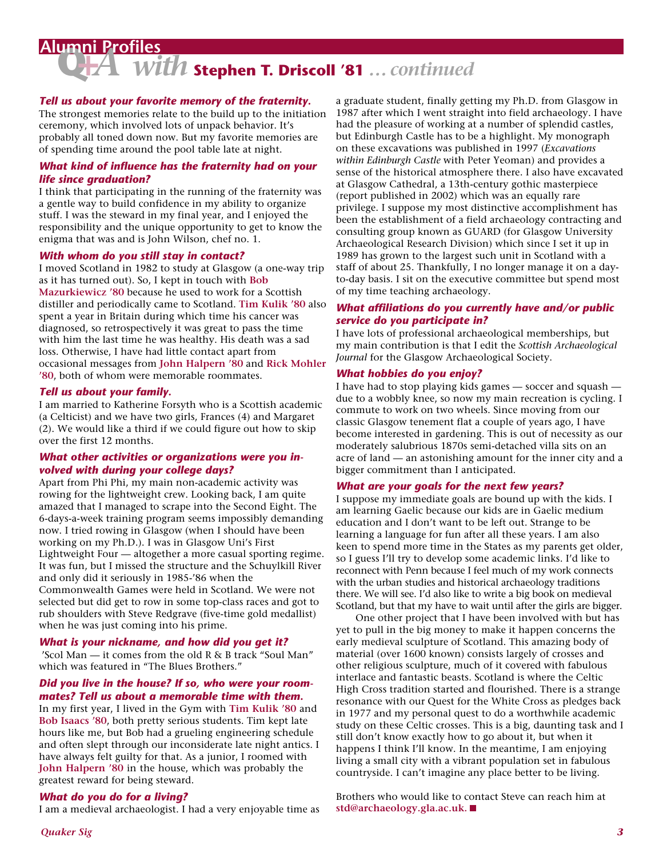## **Alumni Profiles**

# **Q+***A with* **Stephen T. Driscoll '81** *… continued*

#### *Tell us about your favorite memory of the fraternity.*

The strongest memories relate to the build up to the initiation ceremony, which involved lots of unpack behavior. It's probably all toned down now. But my favorite memories are of spending time around the pool table late at night.␣

#### *What kind of influence has the fraternity had on your life since graduation?*

I think that participating in the running of the fraternity was a gentle way to build confidence in my ability to organize stuff. I was the steward in my final year, and I enjoyed the responsibility and the unique opportunity to get to know the enigma that was and is John Wilson, chef no. 1.

#### *With whom do you still stay in contact?*

I moved Scotland in 1982 to study at Glasgow (a one-way trip as it has turned out). So, I kept in touch with **Bob Mazurkiewicz '80** because he used to work for a Scottish distiller and periodically came to Scotland. Tim Kulik '80 also spent a year in Britain during which time his cancer was diagnosed, so retrospectively it was great to pass the time with him the last time he was healthy. His death was a sad loss. Otherwise, I have had little contact apart from occasional messages from **John Halpern '80** and **Rick Mohler '80**, both of whom were memorable roommates.

#### *Tell us about your family.*

I am married to Katherine Forsyth who is a Scottish academic (a Celticist) and we have two girls, Frances (4) and Margaret (2). We would like a third if we could figure out how to skip over the first 12 months.

#### *What other activities or organizations were you involved with during your college days?*

Apart from Phi Phi, my main non-academic activity was rowing for the lightweight crew. Looking back, I am quite amazed that I managed to scrape into the Second Eight. The 6-days-a-week training program seems impossibly demanding now. I tried rowing in Glasgow (when I should have been working on my Ph.D.). I was in Glasgow Uni's First Lightweight Four — altogether a more casual sporting regime. It was fun, but I missed the structure and the Schuylkill River and only did it seriously in 1985-'86 when the Commonwealth Games were held in Scotland. We were not selected but did get to row in some top-class races and got to rub shoulders with Steve Redgrave (five-time gold medallist) when he was just coming into his prime.

#### *What is your nickname, and how did you get it?*

␣ 'Scol Man — it comes from the old R & B track "Soul Man" which was featured in "The Blues Brothers."

#### *Did you live in the house? If so, who were your roommates? Tell us about a memorable time with them.*

In my first year, I lived in the Gym with **Tim Kulik '80** and **Bob Isaacs '80**, both pretty serious students. Tim kept late hours like me, but Bob had a grueling engineering schedule and often slept through our inconsiderate late night antics. I have always felt guilty for that. As a junior, I roomed with **John Halpern '80** in the house, which was probably the greatest reward for being steward.

#### *What do you do for a living?*

I am a medieval archaeologist. I had a very enjoyable time as

a graduate student, finally getting my Ph.D. from Glasgow in 1987 after which I went straight into field archaeology. I have had the pleasure of working at a number of splendid castles, but Edinburgh Castle has to be a highlight. My monograph on these excavations was published in 1997 (*Excavations within Edinburgh Castle* with Peter Yeoman) and provides a sense of the historical atmosphere there. I also have excavated at Glasgow Cathedral, a 13th-century gothic masterpiece (report published in 2002) which was an equally rare privilege. I suppose my most distinctive accomplishment has been the establishment of a field archaeology contracting and consulting group known as GUARD (for Glasgow University Archaeological Research Division) which since I set it up in 1989 has grown to the largest such unit in Scotland with a staff of about 25. Thankfully, I no longer manage it on a dayto-day basis. I sit on the executive committee but spend most of my time teaching archaeology.␣

#### *What affiliations do you currently have and/or public service do you participate in?*

I have lots of professional archaeological memberships, but my main contribution is that I edit the *Scottish Archaeological Journal* for the Glasgow Archaeological Society.

#### *What hobbies do you enjoy?*

I have had to stop playing kids games — soccer and squash due to a wobbly knee, so now my main recreation is cycling. I commute to work on two wheels. Since moving from our classic Glasgow tenement flat a couple of years ago, I have become interested in gardening. This is out of necessity as our moderately salubrious 1870s semi-detached villa sits on an acre of land — an astonishing amount for the inner city and a bigger commitment than I anticipated.␣

#### *What are your goals for the next few years?*

I suppose my immediate goals are bound up with the kids. I am learning Gaelic because our kids are in Gaelic medium education and I don't want to be left out. Strange to be learning a language for fun after all these years. I am also keen to spend more time in the States as my parents get older, so I guess I'll try to develop some academic links. I'd like to reconnect with Penn because I feel much of my work connects with the urban studies and historical archaeology traditions there. We will see. I'd also like to write a big book on medieval Scotland, but that my have to wait until after the girls are bigger.

One other project that I have been involved with but has yet to pull in the big money to make it happen concerns the early medieval sculpture of Scotland. This amazing body of material (over 1600 known) consists largely of crosses and other religious sculpture, much of it covered with fabulous interlace and fantastic beasts. Scotland is where the Celtic High Cross tradition started and flourished. There is a strange resonance with our Quest for the White Cross as pledges back in 1977 and my personal quest to do a worthwhile academic study on these Celtic crosses. This is a big, daunting task and I still don't know exactly how to go about it, but when it happens I think I'll know. In the meantime, I am enjoying living a small city with a vibrant population set in fabulous countryside. I can't imagine any place better to be living.

Brothers who would like to contact Steve can reach him at **std@archaeology.gla.ac.uk.**